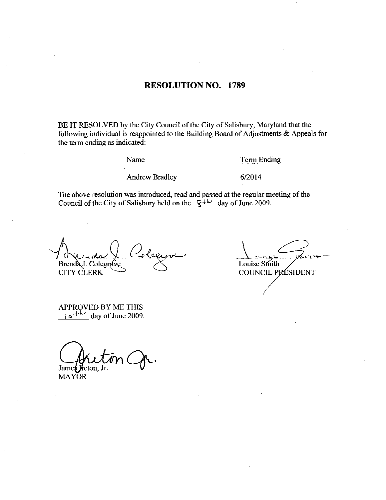### RESOLUTION NO. 1789

BE IT RESOLVED by the City Council of the City of Salisbury, Maryland that the following individual is reappointed to the Building Board of Adjustments  $\&$  Appeals for the term ending as indicated

Name Term Ending

Name Term E<br>Andrew Bradley 6/2014

The above resolution was introduced, read and passed at the regular meeting of the Council of the City of Salisbury held on the  $\frac{Q+L}{L}$  day of June 2009.

Brenda J. Colegrove Louise Smith Louise Smith COUNCIL PRESIDENT CITY CLERK

APPROVED BY ME THIS  $10<sup>+16</sup>$  day of June 2009.

James Keton, Jr.

**MAYOR**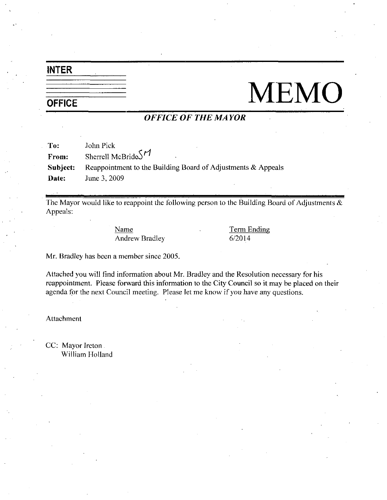# INTER

# $\frac{1}{\text{OFFICE}}$  MEMO

## OFFICE OF THE MAYOR

| To:      | John Pick                                                       |
|----------|-----------------------------------------------------------------|
| From:    | Sherrell McBride $\mathcal{S}$ M                                |
| Subject: | Reappointment to the Building Board of Adjustments $\&$ Appeals |
| Date:    | June 3, 2009                                                    |

The Mayor would like to reappoint the following person to the Building Board of Adjustments  $\&$ Appeals Name Term Bradley Francisco Contractor Contractor Contractor Contractor Contractor Contractor Contractor Contractor Contractor Contractor Contractor Contractor Contractor Contractor Contractor Contractor Contractor Contrac

Name Term Ending

Mr. Bradley has been a member since 2005.

Attached you will find information about Mr. Bradley and the Resolution necessary for his reappointment. Please forward this information to the City Council so it may be placed on their agenda for the next Council meeting. Please let me know if you have any questions.

Attachment

CC: Mayor Ireton William Holland